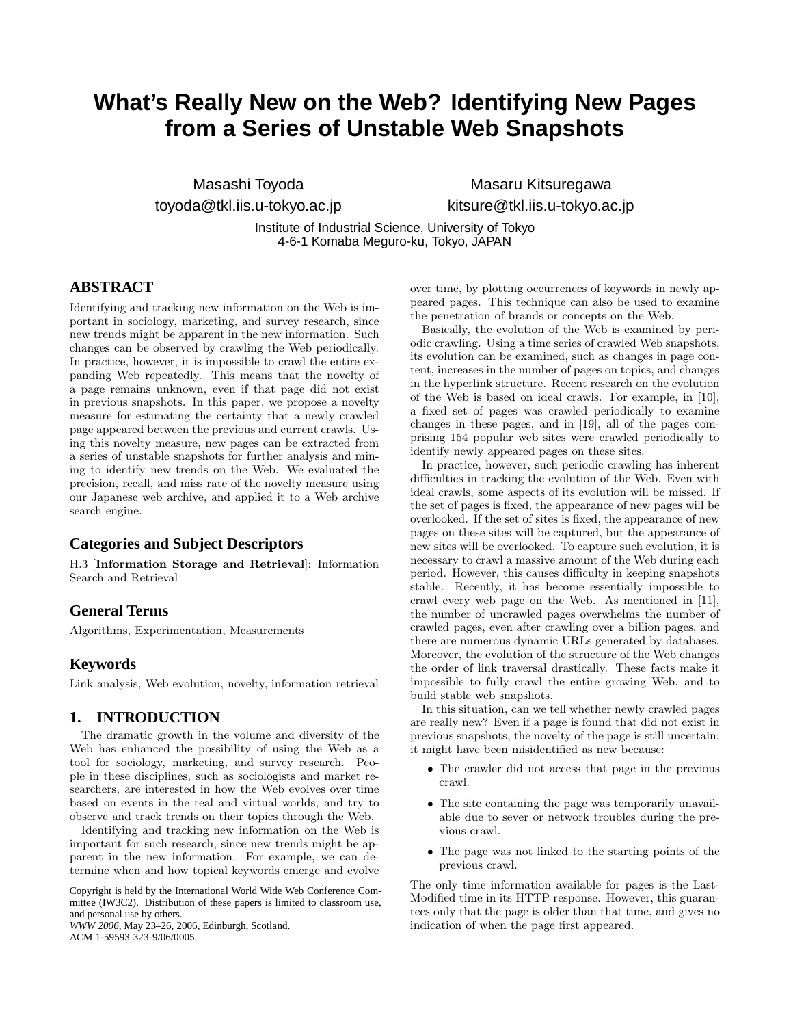# **What's Really New on the Web? Identifying New Pages from a Series of Unstable Web Snapshots**

Masashi Toyoda toyoda@tkl.iis.u-tokyo.ac.jp

Masaru Kitsuregawa kitsure@tkl.iis.u-tokyo.ac.jp

Institute of Industrial Science, University of Tokyo 4-6-1 Komaba Meguro-ku, Tokyo, JAPAN

# **ABSTRACT**

Identifying and tracking new information on the Web is important in sociology, marketing, and survey research, since new trends might be apparent in the new information. Such changes can be observed by crawling the Web periodically. In practice, however, it is impossible to crawl the entire expanding Web repeatedly. This means that the novelty of a page remains unknown, even if that page did not exist in previous snapshots. In this paper, we propose a novelty measure for estimating the certainty that a newly crawled page appeared between the previous and current crawls. Using this novelty measure, new pages can be extracted from a series of unstable snapshots for further analysis and mining to identify new trends on the Web. We evaluated the precision, recall, and miss rate of the novelty measure using our Japanese web archive, and applied it to a Web archive search engine.

## **Categories and Subject Descriptors**

H.3 [**Information Storage and Retrieval**]: Information Search and Retrieval

# **General Terms**

Algorithms, Experimentation, Measurements

## **Keywords**

Link analysis, Web evolution, novelty, information retrieval

# **1. INTRODUCTION**

The dramatic growth in the volume and diversity of the Web has enhanced the possibility of using the Web as a tool for sociology, marketing, and survey research. People in these disciplines, such as sociologists and market researchers, are interested in how the Web evolves over time based on events in the real and virtual worlds, and try to observe and track trends on their topics through the Web.

Identifying and tracking new information on the Web is important for such research, since new trends might be apparent in the new information. For example, we can determine when and how topical keywords emerge and evolve

Copyright is held by the International World Wide Web Conference Committee (IW3C2). Distribution of these papers is limited to classroom use, and personal use by others.

*WWW 2006*, May 23–26, 2006, Edinburgh, Scotland. ACM 1-59593-323-9/06/0005.

over time, by plotting occurrences of keywords in newly appeared pages. This technique can also be used to examine the penetration of brands or concepts on the Web.

Basically, the evolution of the Web is examined by periodic crawling. Using a time series of crawled Web snapshots, its evolution can be examined, such as changes in page content, increases in the number of pages on topics, and changes in the hyperlink structure. Recent research on the evolution of the Web is based on ideal crawls. For example, in [10], a fixed set of pages was crawled periodically to examine changes in these pages, and in [19], all of the pages comprising 154 popular web sites were crawled periodically to identify newly appeared pages on these sites.

In practice, however, such periodic crawling has inherent difficulties in tracking the evolution of the Web. Even with ideal crawls, some aspects of its evolution will be missed. If the set of pages is fixed, the appearance of new pages will be overlooked. If the set of sites is fixed, the appearance of new pages on these sites will be captured, but the appearance of new sites will be overlooked. To capture such evolution, it is necessary to crawl a massive amount of the Web during each period. However, this causes difficulty in keeping snapshots stable. Recently, it has become essentially impossible to crawl every web page on the Web. As mentioned in [11], the number of uncrawled pages overwhelms the number of crawled pages, even after crawling over a billion pages, and there are numerous dynamic URLs generated by databases. Moreover, the evolution of the structure of the Web changes the order of link traversal drastically. These facts make it impossible to fully crawl the entire growing Web, and to build stable web snapshots.

In this situation, can we tell whether newly crawled pages are really new? Even if a page is found that did not exist in previous snapshots, the novelty of the page is still uncertain; it might have been misidentified as new because:

- The crawler did not access that page in the previous crawl.
- The site containing the page was temporarily unavailable due to sever or network troubles during the previous crawl.
- The page was not linked to the starting points of the previous crawl.

The only time information available for pages is the Last-Modified time in its HTTP response. However, this guarantees only that the page is older than that time, and gives no indication of when the page first appeared.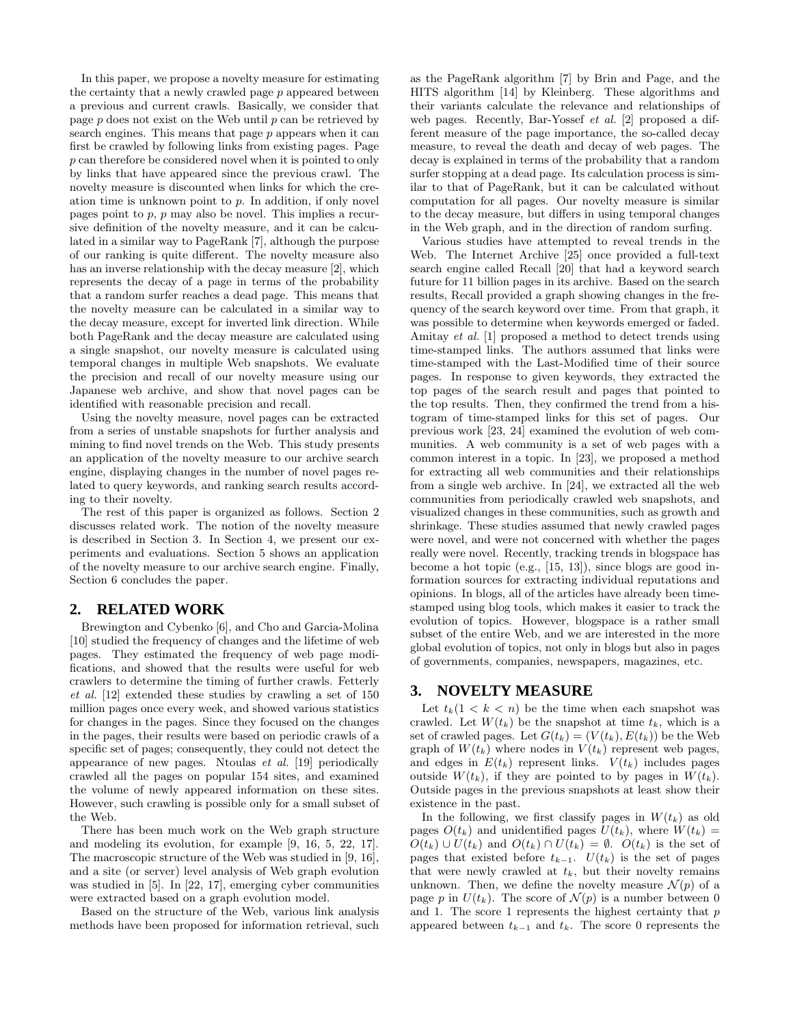In this paper, we propose a novelty measure for estimating the certainty that a newly crawled page p appeared between a previous and current crawls. Basically, we consider that page  $p$  does not exist on the Web until  $p$  can be retrieved by search engines. This means that page p appears when it can first be crawled by following links from existing pages. Page p can therefore be considered novel when it is pointed to only by links that have appeared since the previous crawl. The novelty measure is discounted when links for which the creation time is unknown point to p. In addition, if only novel pages point to  $p$ ,  $p$  may also be novel. This implies a recursive definition of the novelty measure, and it can be calculated in a similar way to PageRank [7], although the purpose of our ranking is quite different. The novelty measure also has an inverse relationship with the decay measure [2], which represents the decay of a page in terms of the probability that a random surfer reaches a dead page. This means that the novelty measure can be calculated in a similar way to the decay measure, except for inverted link direction. While both PageRank and the decay measure are calculated using a single snapshot, our novelty measure is calculated using temporal changes in multiple Web snapshots. We evaluate the precision and recall of our novelty measure using our Japanese web archive, and show that novel pages can be identified with reasonable precision and recall.

Using the novelty measure, novel pages can be extracted from a series of unstable snapshots for further analysis and mining to find novel trends on the Web. This study presents an application of the novelty measure to our archive search engine, displaying changes in the number of novel pages related to query keywords, and ranking search results according to their novelty.

The rest of this paper is organized as follows. Section 2 discusses related work. The notion of the novelty measure is described in Section 3. In Section 4, we present our experiments and evaluations. Section 5 shows an application of the novelty measure to our archive search engine. Finally, Section 6 concludes the paper.

# **2. RELATED WORK**

Brewington and Cybenko [6], and Cho and Garcia-Molina [10] studied the frequency of changes and the lifetime of web pages. They estimated the frequency of web page modifications, and showed that the results were useful for web crawlers to determine the timing of further crawls. Fetterly *et al.* [12] extended these studies by crawling a set of 150 million pages once every week, and showed various statistics for changes in the pages. Since they focused on the changes in the pages, their results were based on periodic crawls of a specific set of pages; consequently, they could not detect the appearance of new pages. Ntoulas *et al.* [19] periodically crawled all the pages on popular 154 sites, and examined the volume of newly appeared information on these sites. However, such crawling is possible only for a small subset of the Web.

There has been much work on the Web graph structure and modeling its evolution, for example [9, 16, 5, 22, 17]. The macroscopic structure of the Web was studied in [9, 16], and a site (or server) level analysis of Web graph evolution was studied in [5]. In [22, 17], emerging cyber communities were extracted based on a graph evolution model.

Based on the structure of the Web, various link analysis methods have been proposed for information retrieval, such as the PageRank algorithm [7] by Brin and Page, and the HITS algorithm [14] by Kleinberg. These algorithms and their variants calculate the relevance and relationships of web pages. Recently, Bar-Yossef *et al.* [2] proposed a different measure of the page importance, the so-called decay measure, to reveal the death and decay of web pages. The decay is explained in terms of the probability that a random surfer stopping at a dead page. Its calculation process is similar to that of PageRank, but it can be calculated without computation for all pages. Our novelty measure is similar to the decay measure, but differs in using temporal changes in the Web graph, and in the direction of random surfing.

Various studies have attempted to reveal trends in the Web. The Internet Archive [25] once provided a full-text search engine called Recall [20] that had a keyword search future for 11 billion pages in its archive. Based on the search results, Recall provided a graph showing changes in the frequency of the search keyword over time. From that graph, it was possible to determine when keywords emerged or faded. Amitay *et al.* [1] proposed a method to detect trends using time-stamped links. The authors assumed that links were time-stamped with the Last-Modified time of their source pages. In response to given keywords, they extracted the top pages of the search result and pages that pointed to the top results. Then, they confirmed the trend from a histogram of time-stamped links for this set of pages. Our previous work [23, 24] examined the evolution of web communities. A web community is a set of web pages with a common interest in a topic. In [23], we proposed a method for extracting all web communities and their relationships from a single web archive. In [24], we extracted all the web communities from periodically crawled web snapshots, and visualized changes in these communities, such as growth and shrinkage. These studies assumed that newly crawled pages were novel, and were not concerned with whether the pages really were novel. Recently, tracking trends in blogspace has become a hot topic (e.g., [15, 13]), since blogs are good information sources for extracting individual reputations and opinions. In blogs, all of the articles have already been timestamped using blog tools, which makes it easier to track the evolution of topics. However, blogspace is a rather small subset of the entire Web, and we are interested in the more global evolution of topics, not only in blogs but also in pages of governments, companies, newspapers, magazines, etc.

# **3. NOVELTY MEASURE**

Let  $t_k(1 \leq k \leq n)$  be the time when each snapshot was crawled. Let  $W(t_k)$  be the snapshot at time  $t_k$ , which is a set of crawled pages. Let  $G(t_k)=(V(t_k), E(t_k))$  be the Web graph of  $W(t_k)$  where nodes in  $V(t_k)$  represent web pages, and edges in  $E(t_k)$  represent links.  $V(t_k)$  includes pages outside  $W(t_k)$ , if they are pointed to by pages in  $W(t_k)$ . Outside pages in the previous snapshots at least show their existence in the past.

In the following, we first classify pages in  $W(t_k)$  as old pages  $O(t_k)$  and unidentified pages  $U(t_k)$ , where  $W(t_k)$  $O(t_k) \cup U(t_k)$  and  $O(t_k) \cap U(t_k) = \emptyset$ .  $O(t_k)$  is the set of pages that existed before  $t_{k-1}$ .  $U(t_k)$  is the set of pages that were newly crawled at  $t_k$ , but their novelty remains unknown. Then, we define the novelty measure  $\mathcal{N}(p)$  of a page p in  $U(t_k)$ . The score of  $\mathcal{N}(p)$  is a number between 0 and 1. The score 1 represents the highest certainty that  $p$ appeared between  $t_{k-1}$  and  $t_k$ . The score 0 represents the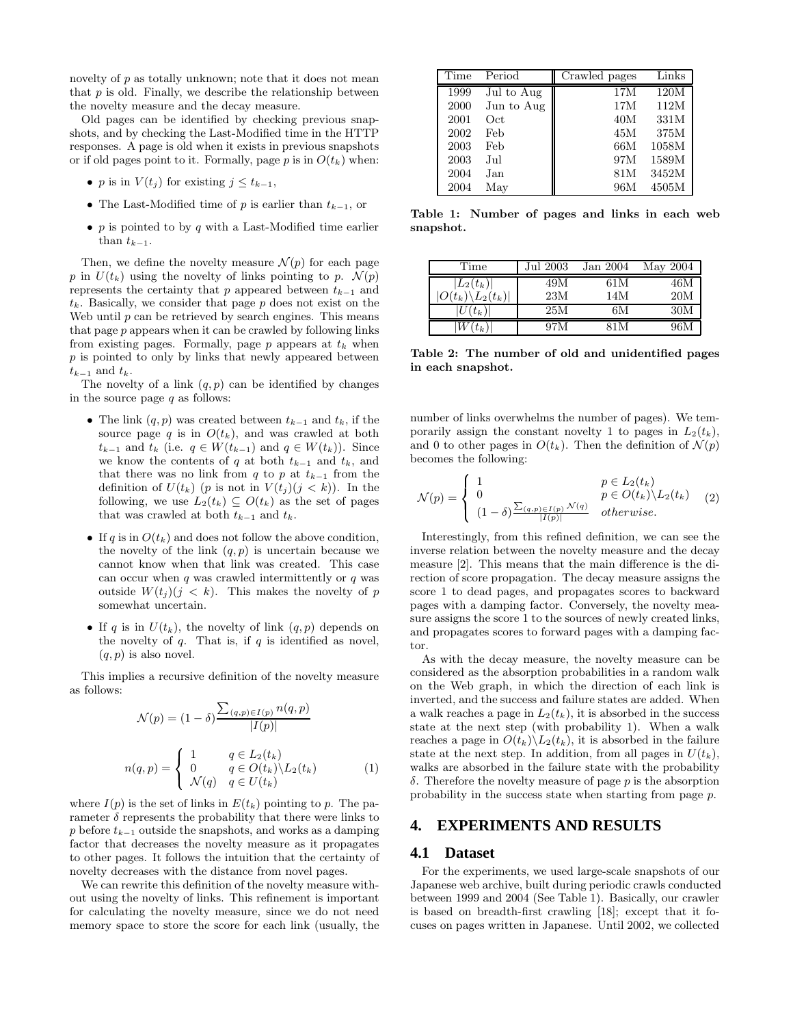novelty of p as totally unknown; note that it does not mean that  $p$  is old. Finally, we describe the relationship between the novelty measure and the decay measure.

Old pages can be identified by checking previous snapshots, and by checking the Last-Modified time in the HTTP responses. A page is old when it exists in previous snapshots or if old pages point to it. Formally, page p is in  $O(t_k)$  when:

- *p* is in  $V(t_i)$  for existing  $j \le t_{k-1}$ ,
- The Last-Modified time of p is earlier than  $t_{k-1}$ , or
- $\bullet\,$   $p$  is pointed to by  $q$  with a Last-Modified time earlier than  $t_{k-1}$ .

Then, we define the novelty measure  $\mathcal{N}(p)$  for each page p in  $U(t_k)$  using the novelty of links pointing to p.  $\mathcal{N}(p)$ represents the certainty that p appeared between  $t_{k-1}$  and t*k*. Basically, we consider that page p does not exist on the Web until  $p$  can be retrieved by search engines. This means that page p appears when it can be crawled by following links from existing pages. Formally, page  $p$  appears at  $t_k$  when p is pointed to only by links that newly appeared between  $t_{k-1}$  and  $t_k$ .

The novelty of a link  $(q, p)$  can be identified by changes in the source page  $q$  as follows:

- The link  $(q, p)$  was created between  $t_{k-1}$  and  $t_k$ , if the source page  $q$  is in  $O(t_k)$ , and was crawled at both t*<sup>k</sup>*−<sup>1</sup> and t*<sup>k</sup>* (i.e. q ∈ W(t*<sup>k</sup>*−<sup>1</sup>) and q ∈ W(t*k*)). Since we know the contents of q at both  $t_{k-1}$  and  $t_k$ , and that there was no link from q to p at  $t_{k-1}$  from the definition of  $U(t_k)$  (p is not in  $V(t_j)(j < k)$ ). In the following, we use  $L_2(t_k) \subseteq O(t_k)$  as the set of pages that was crawled at both  $t_{k-1}$  and  $t_k$ .
- If  $q$  is in  $O(t_k)$  and does not follow the above condition, the novelty of the link  $(q, p)$  is uncertain because we cannot know when that link was created. This case can occur when  $q$  was crawled intermittently or  $q$  was outside  $W(t_j)(j < k)$ . This makes the novelty of p somewhat uncertain.
- If q is in  $U(t_k)$ , the novelty of link  $(q, p)$  depends on the novelty of  $q$ . That is, if  $q$  is identified as novel,  $(q, p)$  is also novel.

This implies a recursive definition of the novelty measure as follows:

$$
\mathcal{N}(p) = (1 - \delta) \frac{\sum_{(q,p)\in I(p)} n(q,p)}{|I(p)|}
$$

$$
n(q,p) = \begin{cases} 1 & q \in L_2(t_k) \\ 0 & q \in O(t_k) \setminus L_2(t_k) \\ \mathcal{N}(q) & q \in U(t_k) \end{cases} (1)
$$

where  $I(p)$  is the set of links in  $E(t_k)$  pointing to p. The parameter  $\delta$  represents the probability that there were links to p before t*<sup>k</sup>*−<sup>1</sup> outside the snapshots, and works as a damping factor that decreases the novelty measure as it propagates to other pages. It follows the intuition that the certainty of novelty decreases with the distance from novel pages.

We can rewrite this definition of the novelty measure without using the novelty of links. This refinement is important for calculating the novelty measure, since we do not need memory space to store the score for each link (usually, the

| Time | Period     | Crawled pages | Links |
|------|------------|---------------|-------|
| 1999 | Jul to Aug | 17M           | 120M  |
| 2000 | Jun to Aug | 17M           | 112M  |
| 2001 | Oct        | 40M           | 331M  |
| 2002 | Feb        | 45M           | 375M  |
| 2003 | Feb        | 66M           | 1058M |
| 2003 | Jul.       | 97M           | 1589M |
| 2004 | Jan        | 81M           | 3452M |
| 2004 | May        | 96M           | 4505M |

**Table 1: Number of pages and links in each web snapshot.**

| Time                          | Jul 2003 | Jan 2004 | May 2004 |
|-------------------------------|----------|----------|----------|
| $ L_2(t_k) $                  | 49M      | 61 M     | 46M      |
| $ O(t_k)\backslash L_2(t_k) $ | 23M      | 14M      | 20M      |
| $(U(t_k))$                    | 25M      | 6М       | 30M      |
| $t_k$                         | 97M      | 81 M     | 96M      |

**Table 2: The number of old and unidentified pages in each snapshot.**

number of links overwhelms the number of pages). We temporarily assign the constant novelty 1 to pages in  $L_2(t_k)$ , and 0 to other pages in  $O(t_k)$ . Then the definition of  $\mathcal{N}(p)$ becomes the following:

$$
\mathcal{N}(p) = \begin{cases} 1 & p \in L_2(t_k) \\ 0 & p \in O(t_k) \setminus L_2(t_k) \\ (1 - \delta)^{\sum_{(q,p)\in I(p)} \mathcal{N}(q)} & otherwise. \end{cases}
$$
 (2)

Interestingly, from this refined definition, we can see the inverse relation between the novelty measure and the decay measure [2]. This means that the main difference is the direction of score propagation. The decay measure assigns the score 1 to dead pages, and propagates scores to backward pages with a damping factor. Conversely, the novelty measure assigns the score 1 to the sources of newly created links, and propagates scores to forward pages with a damping factor.

As with the decay measure, the novelty measure can be considered as the absorption probabilities in a random walk on the Web graph, in which the direction of each link is inverted, and the success and failure states are added. When a walk reaches a page in  $L_2(t_k)$ , it is absorbed in the success state at the next step (with probability 1). When a walk reaches a page in  $O(t_k)\backslash L_2(t_k)$ , it is absorbed in the failure state at the next step. In addition, from all pages in  $U(t_k)$ , walks are absorbed in the failure state with the probability δ. Therefore the novelty measure of page p is the absorption probability in the success state when starting from page p.

# **4. EXPERIMENTS AND RESULTS**

## **4.1 Dataset**

For the experiments, we used large-scale snapshots of our Japanese web archive, built during periodic crawls conducted between 1999 and 2004 (See Table 1). Basically, our crawler is based on breadth-first crawling [18]; except that it focuses on pages written in Japanese. Until 2002, we collected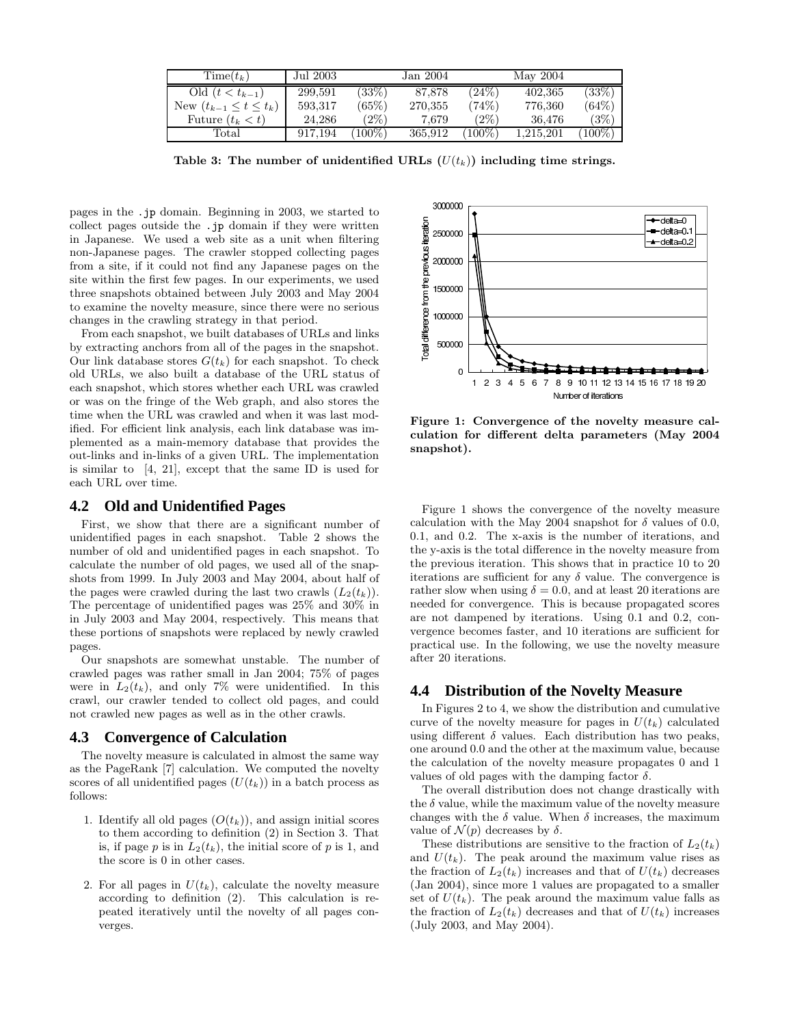| $Time(t_k)$                     | Jul 2003 |           | Jan 2004 |         | May 2004  |           |
|---------------------------------|----------|-----------|----------|---------|-----------|-----------|
| Old $(t < t_{k-1})$             | 299.591  | (33%)     | 87.878   | (24%)   | 402,365   | $(33\%)$  |
| New $(t_{k-1} \leq t \leq t_k)$ | 593,317  | (65%)     | 270,355  | (74%)   | 776,360   | (64%)     |
| Future $(t_k < t)$              | 24,286   | $(2\%)$   | 7.679    | $(2\%)$ | 36.476    | $(3\%)$   |
| Total                           | 917,194  | $(100\%)$ | 365,912  | $100\%$ | 1.215.201 | $(100\%)$ |

Table 3: The number of unidentified URLs  $(U(t_k))$  including time strings.

pages in the .jp domain. Beginning in 2003, we started to collect pages outside the .jp domain if they were written in Japanese. We used a web site as a unit when filtering non-Japanese pages. The crawler stopped collecting pages from a site, if it could not find any Japanese pages on the site within the first few pages. In our experiments, we used three snapshots obtained between July 2003 and May 2004 to examine the novelty measure, since there were no serious changes in the crawling strategy in that period.

From each snapshot, we built databases of URLs and links by extracting anchors from all of the pages in the snapshot. Our link database stores  $G(t_k)$  for each snapshot. To check old URLs, we also built a database of the URL status of each snapshot, which stores whether each URL was crawled or was on the fringe of the Web graph, and also stores the time when the URL was crawled and when it was last modified. For efficient link analysis, each link database was implemented as a main-memory database that provides the out-links and in-links of a given URL. The implementation is similar to [4, 21], except that the same ID is used for each URL over time.

#### **4.2 Old and Unidentified Pages**

First, we show that there are a significant number of unidentified pages in each snapshot. Table 2 shows the number of old and unidentified pages in each snapshot. To calculate the number of old pages, we used all of the snapshots from 1999. In July 2003 and May 2004, about half of the pages were crawled during the last two crawls  $(L_2(t_k))$ . The percentage of unidentified pages was 25% and 30% in in July 2003 and May 2004, respectively. This means that these portions of snapshots were replaced by newly crawled pages.

Our snapshots are somewhat unstable. The number of crawled pages was rather small in Jan 2004; 75% of pages were in  $L_2(t_k)$ , and only 7% were unidentified. In this crawl, our crawler tended to collect old pages, and could not crawled new pages as well as in the other crawls.

#### **4.3 Convergence of Calculation**

The novelty measure is calculated in almost the same way as the PageRank [7] calculation. We computed the novelty scores of all unidentified pages  $(U(t_k))$  in a batch process as follows:

- 1. Identify all old pages  $(O(t_k))$ , and assign initial scores to them according to definition (2) in Section 3. That is, if page  $p$  is in  $L_2(t_k)$ , the initial score of  $p$  is 1, and the score is 0 in other cases.
- 2. For all pages in  $U(t_k)$ , calculate the novelty measure according to definition (2). This calculation is repeated iteratively until the novelty of all pages converges.



**Figure 1: Convergence of the novelty measure calculation for different delta parameters (May 2004 snapshot).**

Figure 1 shows the convergence of the novelty measure calculation with the May 2004 snapshot for  $\delta$  values of 0.0, 0.1, and 0.2. The x-axis is the number of iterations, and the y-axis is the total difference in the novelty measure from the previous iteration. This shows that in practice 10 to 20 iterations are sufficient for any  $\delta$  value. The convergence is rather slow when using  $\delta = 0.0$ , and at least 20 iterations are needed for convergence. This is because propagated scores are not dampened by iterations. Using 0.1 and 0.2, convergence becomes faster, and 10 iterations are sufficient for practical use. In the following, we use the novelty measure after 20 iterations.

#### **4.4 Distribution of the Novelty Measure**

In Figures 2 to 4, we show the distribution and cumulative curve of the novelty measure for pages in  $U(t_k)$  calculated using different  $\delta$  values. Each distribution has two peaks, one around 0.0 and the other at the maximum value, because the calculation of the novelty measure propagates 0 and 1 values of old pages with the damping factor  $\delta$ .

The overall distribution does not change drastically with the  $\delta$  value, while the maximum value of the novelty measure changes with the  $\delta$  value. When  $\delta$  increases, the maximum value of  $\mathcal{N}(p)$  decreases by  $\delta$ .

These distributions are sensitive to the fraction of  $L_2(t_k)$ and  $U(t_k)$ . The peak around the maximum value rises as the fraction of  $L_2(t_k)$  increases and that of  $U(t_k)$  decreases (Jan 2004), since more 1 values are propagated to a smaller set of  $U(t_k)$ . The peak around the maximum value falls as the fraction of  $L_2(t_k)$  decreases and that of  $U(t_k)$  increases (July 2003, and May 2004).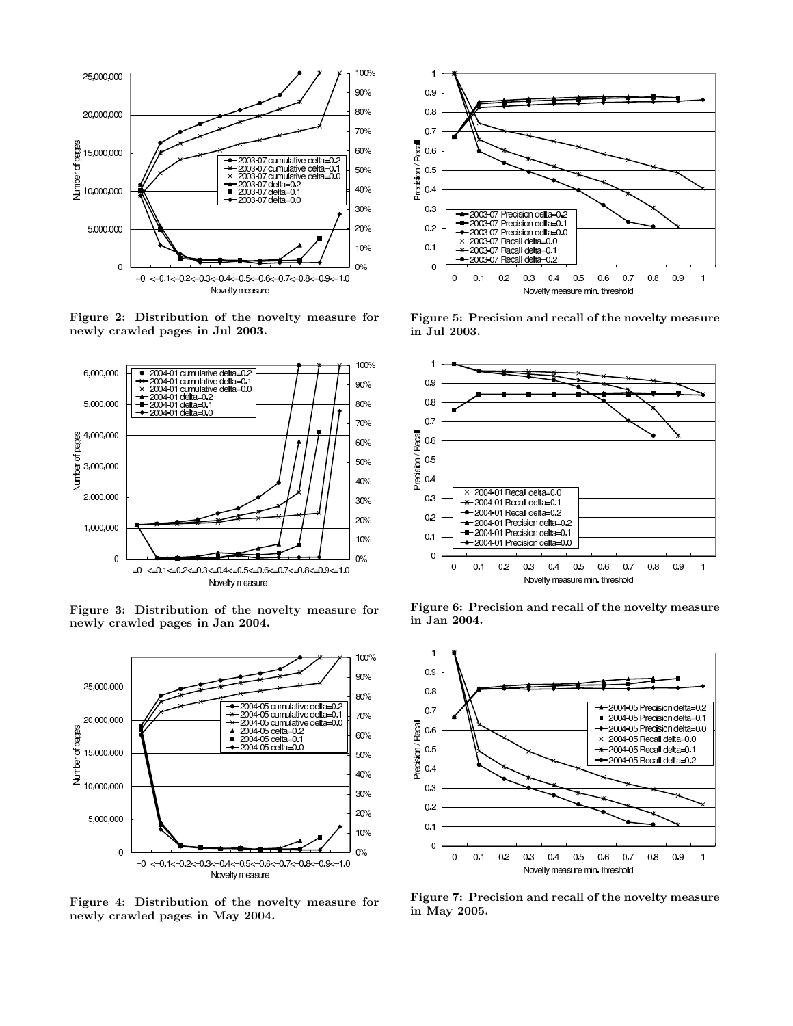

**Figure 2: Distribution of the novelty measure for newly crawled pages in Jul 2003.**



**Figure 3: Distribution of the novelty measure for newly crawled pages in Jan 2004.**



**Figure 4: Distribution of the novelty measure for newly crawled pages in May 2004.**



**Figure 5: Precision and recall of the novelty measure in Jul 2003.**



**Figure 6: Precision and recall of the novelty measure in Jan 2004.**



**Figure 7: Precision and recall of the novelty measure in May 2005.**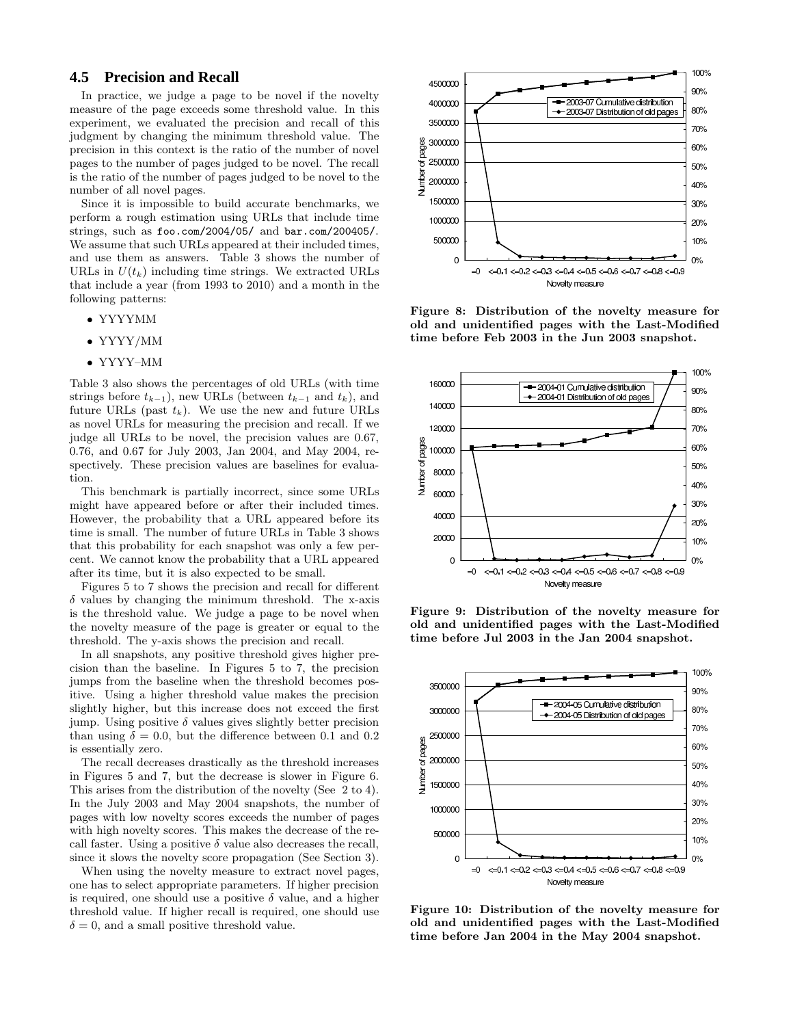# **4.5 Precision and Recall**

In practice, we judge a page to be novel if the novelty measure of the page exceeds some threshold value. In this experiment, we evaluated the precision and recall of this judgment by changing the minimum threshold value. The precision in this context is the ratio of the number of novel pages to the number of pages judged to be novel. The recall is the ratio of the number of pages judged to be novel to the number of all novel pages.

Since it is impossible to build accurate benchmarks, we perform a rough estimation using URLs that include time strings, such as foo.com/2004/05/ and bar.com/200405/. We assume that such URLs appeared at their included times, and use them as answers. Table 3 shows the number of URLs in  $U(t_k)$  including time strings. We extracted URLs that include a year (from 1993 to 2010) and a month in the following patterns:

- YYYYMM
- YYYY/MM
- YYYY–MM

Table 3 also shows the percentages of old URLs (with time strings before  $t_{k-1}$ ), new URLs (between  $t_{k-1}$  and  $t_k$ ), and future URLs (past  $t_k$ ). We use the new and future URLs as novel URLs for measuring the precision and recall. If we judge all URLs to be novel, the precision values are 0.67, 0.76, and 0.67 for July 2003, Jan 2004, and May 2004, respectively. These precision values are baselines for evaluation.

This benchmark is partially incorrect, since some URLs might have appeared before or after their included times. However, the probability that a URL appeared before its time is small. The number of future URLs in Table 3 shows that this probability for each snapshot was only a few percent. We cannot know the probability that a URL appeared after its time, but it is also expected to be small.

Figures 5 to 7 shows the precision and recall for different  $\delta$  values by changing the minimum threshold. The x-axis is the threshold value. We judge a page to be novel when the novelty measure of the page is greater or equal to the threshold. The y-axis shows the precision and recall.

In all snapshots, any positive threshold gives higher precision than the baseline. In Figures 5 to 7, the precision jumps from the baseline when the threshold becomes positive. Using a higher threshold value makes the precision slightly higher, but this increase does not exceed the first jump. Using positive  $\delta$  values gives slightly better precision than using  $\delta = 0.0$ , but the difference between 0.1 and 0.2 is essentially zero.

The recall decreases drastically as the threshold increases in Figures 5 and 7, but the decrease is slower in Figure 6. This arises from the distribution of the novelty (See 2 to 4). In the July 2003 and May 2004 snapshots, the number of pages with low novelty scores exceeds the number of pages with high novelty scores. This makes the decrease of the recall faster. Using a positive  $\delta$  value also decreases the recall, since it slows the novelty score propagation (See Section 3).

When using the novelty measure to extract novel pages, one has to select appropriate parameters. If higher precision is required, one should use a positive  $\delta$  value, and a higher threshold value. If higher recall is required, one should use  $\delta = 0$ , and a small positive threshold value.



**Figure 8: Distribution of the novelty measure for old and unidentified pages with the Last-Modified time before Feb 2003 in the Jun 2003 snapshot.**



**Figure 9: Distribution of the novelty measure for old and unidentified pages with the Last-Modified time before Jul 2003 in the Jan 2004 snapshot.**



**Figure 10: Distribution of the novelty measure for old and unidentified pages with the Last-Modified time before Jan 2004 in the May 2004 snapshot.**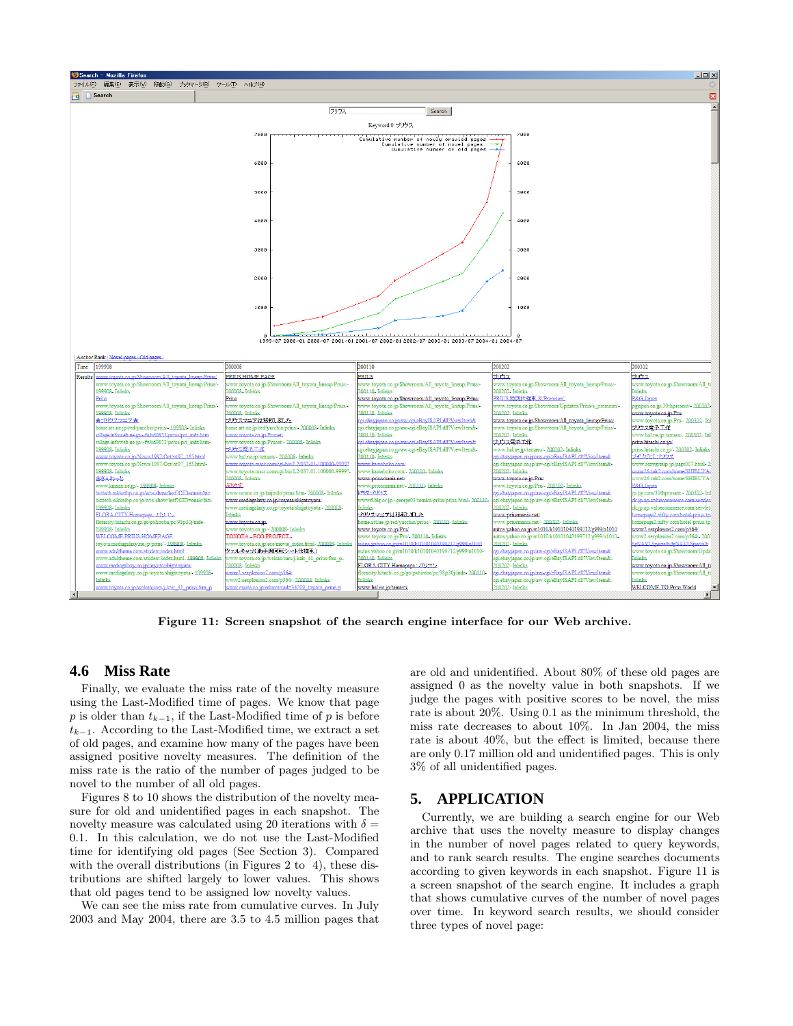

**Figure 11: Screen snapshot of the search engine interface for our Web archive.**

# **4.6 Miss Rate**

Finally, we evaluate the miss rate of the novelty measure using the Last-Modified time of pages. We know that page p is older than  $t_{k-1}$ , if the Last-Modified time of p is before t*<sup>k</sup>*−<sup>1</sup>. According to the Last-Modified time, we extract a set of old pages, and examine how many of the pages have been assigned positive novelty measures. The definition of the miss rate is the ratio of the number of pages judged to be novel to the number of all old pages.

Figures 8 to 10 shows the distribution of the novelty measure for old and unidentified pages in each snapshot. The novelty measure was calculated using 20 iterations with  $\delta =$ 0.1. In this calculation, we do not use the Last-Modified time for identifying old pages (See Section 3). Compared with the overall distributions (in Figures 2 to 4), these distributions are shifted largely to lower values. This shows that old pages tend to be assigned low novelty values.

We can see the miss rate from cumulative curves. In July 2003 and May 2004, there are 3.5 to 4.5 million pages that are old and unidentified. About 80% of these old pages are assigned 0 as the novelty value in both snapshots. If we judge the pages with positive scores to be novel, the miss rate is about 20%. Using 0.1 as the minimum threshold, the miss rate decreases to about 10%. In Jan 2004, the miss rate is about 40%, but the effect is limited, because there are only 0.17 million old and unidentified pages. This is only 3% of all unidentified pages.

# **5. APPLICATION**

Currently, we are building a search engine for our Web archive that uses the novelty measure to display changes in the number of novel pages related to query keywords, and to rank search results. The engine searches documents according to given keywords in each snapshot. Figure 11 is a screen snapshot of the search engine. It includes a graph that shows cumulative curves of the number of novel pages over time. In keyword search results, we should consider three types of novel page: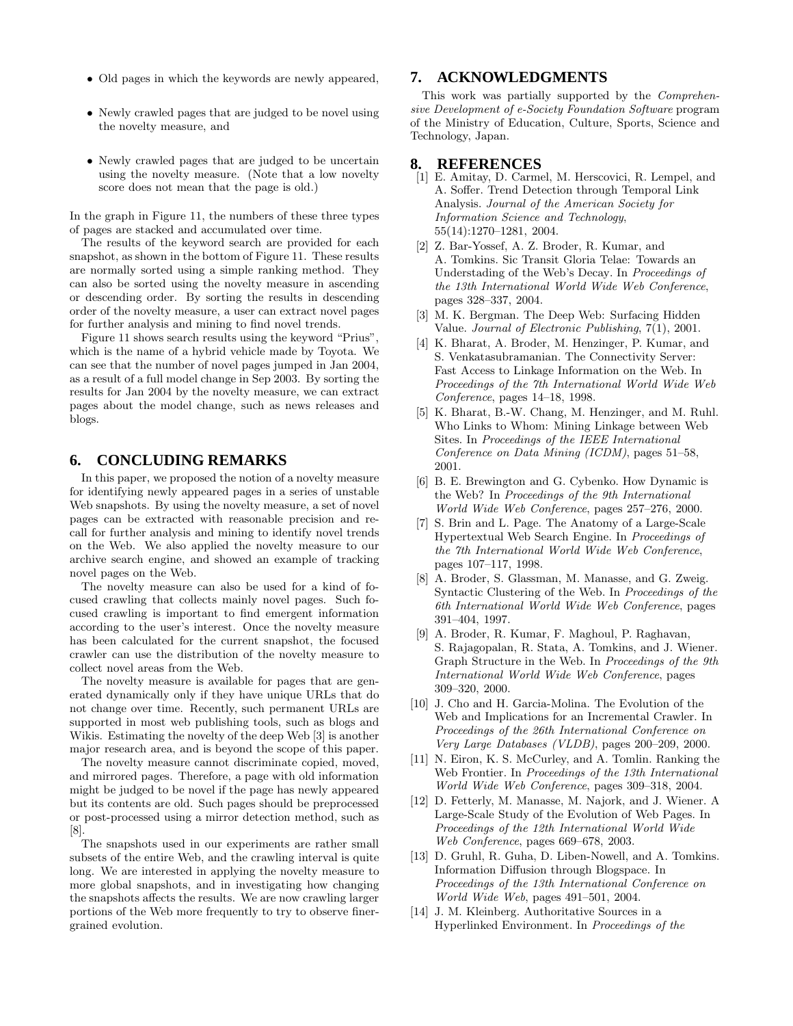- Old pages in which the keywords are newly appeared,
- Newly crawled pages that are judged to be novel using the novelty measure, and
- Newly crawled pages that are judged to be uncertain using the novelty measure. (Note that a low novelty score does not mean that the page is old.)

In the graph in Figure 11, the numbers of these three types of pages are stacked and accumulated over time.

The results of the keyword search are provided for each snapshot, as shown in the bottom of Figure 11. These results are normally sorted using a simple ranking method. They can also be sorted using the novelty measure in ascending or descending order. By sorting the results in descending order of the novelty measure, a user can extract novel pages for further analysis and mining to find novel trends.

Figure 11 shows search results using the keyword "Prius", which is the name of a hybrid vehicle made by Toyota. We can see that the number of novel pages jumped in Jan 2004, as a result of a full model change in Sep 2003. By sorting the results for Jan 2004 by the novelty measure, we can extract pages about the model change, such as news releases and blogs.

# **6. CONCLUDING REMARKS**

In this paper, we proposed the notion of a novelty measure for identifying newly appeared pages in a series of unstable Web snapshots. By using the novelty measure, a set of novel pages can be extracted with reasonable precision and recall for further analysis and mining to identify novel trends on the Web. We also applied the novelty measure to our archive search engine, and showed an example of tracking novel pages on the Web.

The novelty measure can also be used for a kind of focused crawling that collects mainly novel pages. Such focused crawling is important to find emergent information according to the user's interest. Once the novelty measure has been calculated for the current snapshot, the focused crawler can use the distribution of the novelty measure to collect novel areas from the Web.

The novelty measure is available for pages that are generated dynamically only if they have unique URLs that do not change over time. Recently, such permanent URLs are supported in most web publishing tools, such as blogs and Wikis. Estimating the novelty of the deep Web [3] is another major research area, and is beyond the scope of this paper.

The novelty measure cannot discriminate copied, moved, and mirrored pages. Therefore, a page with old information might be judged to be novel if the page has newly appeared but its contents are old. Such pages should be preprocessed or post-processed using a mirror detection method, such as [8].

The snapshots used in our experiments are rather small subsets of the entire Web, and the crawling interval is quite long. We are interested in applying the novelty measure to more global snapshots, and in investigating how changing the snapshots affects the results. We are now crawling larger portions of the Web more frequently to try to observe finergrained evolution.

# **7. ACKNOWLEDGMENTS**

This work was partially supported by the *Comprehensive Development of e-Society Foundation Software* program of the Ministry of Education, Culture, Sports, Science and Technology, Japan.

## **8. REFERENCES**

- [1] E. Amitay, D. Carmel, M. Herscovici, R. Lempel, and A. Soffer. Trend Detection through Temporal Link Analysis. *Journal of the American Society for Information Science and Technology*, 55(14):1270–1281, 2004.
- [2] Z. Bar-Yossef, A. Z. Broder, R. Kumar, and A. Tomkins. Sic Transit Gloria Telae: Towards an Understading of the Web's Decay. In *Proceedings of the 13th International World Wide Web Conference*, pages 328–337, 2004.
- [3] M. K. Bergman. The Deep Web: Surfacing Hidden Value. *Journal of Electronic Publishing*, 7(1), 2001.
- [4] K. Bharat, A. Broder, M. Henzinger, P. Kumar, and S. Venkatasubramanian. The Connectivity Server: Fast Access to Linkage Information on the Web. In *Proceedings of the 7th International World Wide Web Conference*, pages 14–18, 1998.
- [5] K. Bharat, B.-W. Chang, M. Henzinger, and M. Ruhl. Who Links to Whom: Mining Linkage between Web Sites. In *Proceedings of the IEEE International Conference on Data Mining (ICDM)*, pages 51–58, 2001.
- [6] B. E. Brewington and G. Cybenko. How Dynamic is the Web? In *Proceedings of the 9th International World Wide Web Conference*, pages 257–276, 2000.
- [7] S. Brin and L. Page. The Anatomy of a Large-Scale Hypertextual Web Search Engine. In *Proceedings of the 7th International World Wide Web Conference*, pages 107–117, 1998.
- [8] A. Broder, S. Glassman, M. Manasse, and G. Zweig. Syntactic Clustering of the Web. In *Proceedings of the 6th International World Wide Web Conference*, pages 391–404, 1997.
- [9] A. Broder, R. Kumar, F. Maghoul, P. Raghavan, S. Rajagopalan, R. Stata, A. Tomkins, and J. Wiener. Graph Structure in the Web. In *Proceedings of the 9th International World Wide Web Conference*, pages 309–320, 2000.
- [10] J. Cho and H. Garcia-Molina. The Evolution of the Web and Implications for an Incremental Crawler. In *Proceedings of the 26th International Conference on Very Large Databases (VLDB)*, pages 200–209, 2000.
- [11] N. Eiron, K. S. McCurley, and A. Tomlin. Ranking the Web Frontier. In *Proceedings of the 13th International World Wide Web Conference*, pages 309–318, 2004.
- [12] D. Fetterly, M. Manasse, M. Najork, and J. Wiener. A Large-Scale Study of the Evolution of Web Pages. In *Proceedings of the 12th International World Wide Web Conference*, pages 669–678, 2003.
- [13] D. Gruhl, R. Guha, D. Liben-Nowell, and A. Tomkins. Information Diffusion through Blogspace. In *Proceedings of the 13th International Conference on World Wide Web*, pages 491–501, 2004.
- [14] J. M. Kleinberg. Authoritative Sources in a Hyperlinked Environment. In *Proceedings of the*